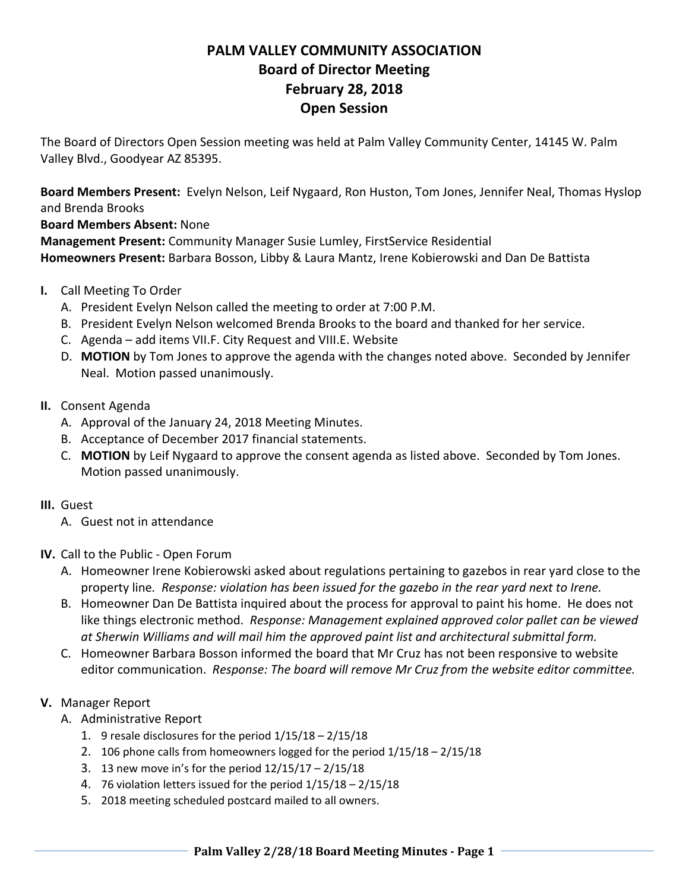# **PALM VALLEY COMMUNITY ASSOCIATION Board of Director Meeting February 28, 2018 Open Session**

The Board of Directors Open Session meeting was held at Palm Valley Community Center, 14145 W. Palm Valley Blvd., Goodyear AZ 85395.

**Board Members Present:** Evelyn Nelson, Leif Nygaard, Ron Huston, Tom Jones, Jennifer Neal, Thomas Hyslop and Brenda Brooks

**Board Members Absent:** None

**Management Present:** Community Manager Susie Lumley, FirstService Residential **Homeowners Present:** Barbara Bosson, Libby & Laura Mantz, Irene Kobierowski and Dan De Battista

- **I.** Call Meeting To Order
	- A. President Evelyn Nelson called the meeting to order at 7:00 P.M.
	- B. President Evelyn Nelson welcomed Brenda Brooks to the board and thanked for her service.
	- C. Agenda add items VII.F. City Request and VIII.E. Website
	- D. **MOTION** by Tom Jones to approve the agenda with the changes noted above. Seconded by Jennifer Neal. Motion passed unanimously.
- **II.** Consent Agenda
	- A. Approval of the January 24, 2018 Meeting Minutes.
	- B. Acceptance of December 2017 financial statements.
	- C. **MOTION** by Leif Nygaard to approve the consent agenda as listed above. Seconded by Tom Jones. Motion passed unanimously.

## **III.** Guest

- A. Guest not in attendance
- **IV.** Call to the Public ‐ Open Forum
	- A. Homeowner Irene Kobierowski asked about regulations pertaining to gazebos in rear yard close to the property line*. Response: violation has been issued for the gazebo in the rear yard next to Irene.*
	- B. Homeowner Dan De Battista inquired about the process for approval to paint his home. He does not like things electronic method. *Response: Management explained approved color pallet can be viewed at Sherwin Williams and will mail him the approved paint list and architectural submittal form.*
	- C. Homeowner Barbara Bosson informed the board that Mr Cruz has not been responsive to website editor communication. *Response: The board will remove Mr Cruz from the website editor committee.*

## **V.** Manager Report

- A. Administrative Report
	- 1. 9 resale disclosures for the period  $1/15/18 2/15/18$
	- 2. 106 phone calls from homeowners logged for the period 1/15/18 2/15/18
	- 3. 13 new move in's for the period 12/15/17 2/15/18
	- 4. 76 violation letters issued for the period 1/15/18 2/15/18
	- 5. 2018 meeting scheduled postcard mailed to all owners.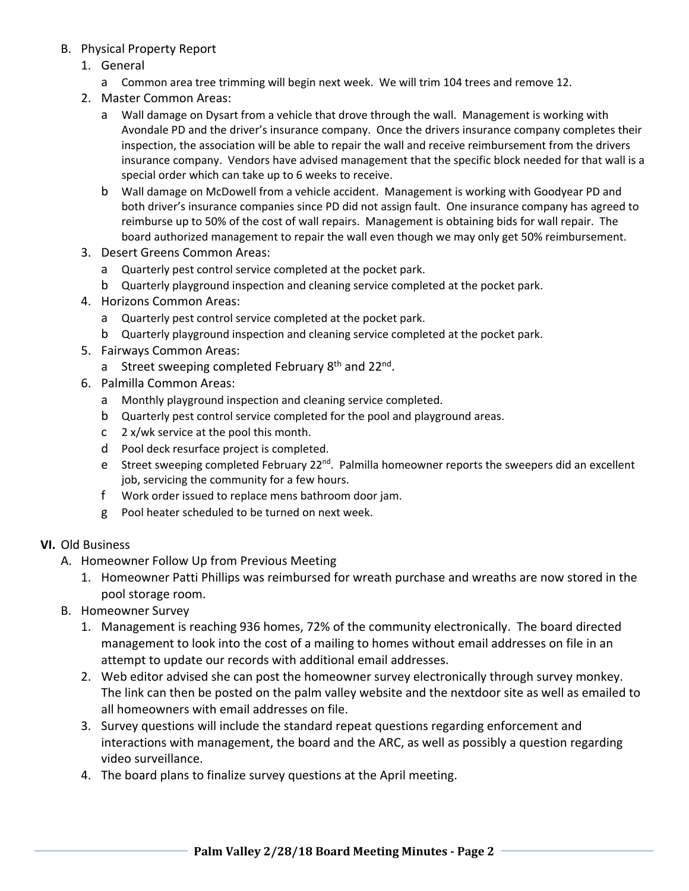- B. Physical Property Report
	- 1. General
		- a Common area tree trimming will begin next week. We will trim 104 trees and remove 12.
	- 2. Master Common Areas:
		- a Wall damage on Dysart from a vehicle that drove through the wall. Management is working with Avondale PD and the driver's insurance company. Once the drivers insurance company completes their inspection, the association will be able to repair the wall and receive reimbursement from the drivers insurance company. Vendors have advised management that the specific block needed for that wall is a special order which can take up to 6 weeks to receive.
		- b Wall damage on McDowell from a vehicle accident. Management is working with Goodyear PD and both driver's insurance companies since PD did not assign fault. One insurance company has agreed to reimburse up to 50% of the cost of wall repairs. Management is obtaining bids for wall repair. The board authorized management to repair the wall even though we may only get 50% reimbursement.
	- 3. Desert Greens Common Areas:
		- a Quarterly pest control service completed at the pocket park.
		- b Quarterly playground inspection and cleaning service completed at the pocket park.
	- 4. Horizons Common Areas:
		- a Quarterly pest control service completed at the pocket park.
		- b Quarterly playground inspection and cleaning service completed at the pocket park.
	- 5. Fairways Common Areas:
		- a Street sweeping completed February  $8<sup>th</sup>$  and  $22<sup>nd</sup>$ .
	- 6. Palmilla Common Areas:
		- a Monthly playground inspection and cleaning service completed.
		- b Quarterly pest control service completed for the pool and playground areas.
		- c 2 x/wk service at the pool this month.
		- d Pool deck resurface project is completed.
		- e Street sweeping completed February 22<sup>nd</sup>. Palmilla homeowner reports the sweepers did an excellent job, servicing the community for a few hours.
		- f Work order issued to replace mens bathroom door jam.
		- g Pool heater scheduled to be turned on next week.

#### **VI.** Old Business

- A. Homeowner Follow Up from Previous Meeting
	- 1. Homeowner Patti Phillips was reimbursed for wreath purchase and wreaths are now stored in the pool storage room.
- B. Homeowner Survey
	- 1. Management is reaching 936 homes, 72% of the community electronically. The board directed management to look into the cost of a mailing to homes without email addresses on file in an attempt to update our records with additional email addresses.
	- 2. Web editor advised she can post the homeowner survey electronically through survey monkey. The link can then be posted on the palm valley website and the nextdoor site as well as emailed to all homeowners with email addresses on file.
	- 3. Survey questions will include the standard repeat questions regarding enforcement and interactions with management, the board and the ARC, as well as possibly a question regarding video surveillance.
	- 4. The board plans to finalize survey questions at the April meeting.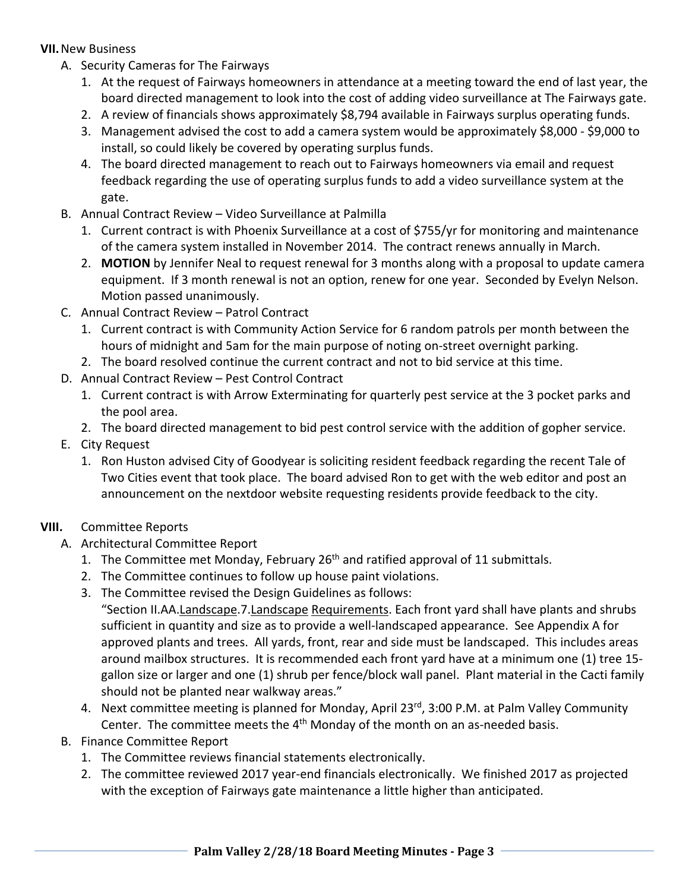## **VII.**New Business

- A. Security Cameras for The Fairways
	- 1. At the request of Fairways homeowners in attendance at a meeting toward the end of last year, the board directed management to look into the cost of adding video surveillance at The Fairways gate.
	- 2. A review of financials shows approximately \$8,794 available in Fairways surplus operating funds.
	- 3. Management advised the cost to add a camera system would be approximately \$8,000 ‐ \$9,000 to install, so could likely be covered by operating surplus funds.
	- 4. The board directed management to reach out to Fairways homeowners via email and request feedback regarding the use of operating surplus funds to add a video surveillance system at the gate.
- B. Annual Contract Review Video Surveillance at Palmilla
	- 1. Current contract is with Phoenix Surveillance at a cost of \$755/yr for monitoring and maintenance of the camera system installed in November 2014. The contract renews annually in March.
	- 2. **MOTION** by Jennifer Neal to request renewal for 3 months along with a proposal to update camera equipment. If 3 month renewal is not an option, renew for one year. Seconded by Evelyn Nelson. Motion passed unanimously.
- C. Annual Contract Review Patrol Contract
	- 1. Current contract is with Community Action Service for 6 random patrols per month between the hours of midnight and 5am for the main purpose of noting on‐street overnight parking.
	- 2. The board resolved continue the current contract and not to bid service at this time.
- D. Annual Contract Review Pest Control Contract
	- 1. Current contract is with Arrow Exterminating for quarterly pest service at the 3 pocket parks and the pool area.
	- 2. The board directed management to bid pest control service with the addition of gopher service.
- E. City Request
	- 1. Ron Huston advised City of Goodyear is soliciting resident feedback regarding the recent Tale of Two Cities event that took place. The board advised Ron to get with the web editor and post an announcement on the nextdoor website requesting residents provide feedback to the city.
- **VIII.** Committee Reports
	- A. Architectural Committee Report
		- 1. The Committee met Monday, February 26<sup>th</sup> and ratified approval of 11 submittals.
		- 2. The Committee continues to follow up house paint violations.
		- 3. The Committee revised the Design Guidelines as follows:

"Section II.AA.Landscape.7.Landscape Requirements. Each front yard shall have plants and shrubs sufficient in quantity and size as to provide a well‐landscaped appearance. See Appendix A for approved plants and trees. All yards, front, rear and side must be landscaped. This includes areas around mailbox structures. It is recommended each front yard have at a minimum one (1) tree 15‐ gallon size or larger and one (1) shrub per fence/block wall panel. Plant material in the Cacti family should not be planted near walkway areas."

- 4. Next committee meeting is planned for Monday, April 23<sup>rd</sup>, 3:00 P.M. at Palm Valley Community Center. The committee meets the  $4<sup>th</sup>$  Monday of the month on an as-needed basis.
- B. Finance Committee Report
	- 1. The Committee reviews financial statements electronically.
	- 2. The committee reviewed 2017 year‐end financials electronically. We finished 2017 as projected with the exception of Fairways gate maintenance a little higher than anticipated.